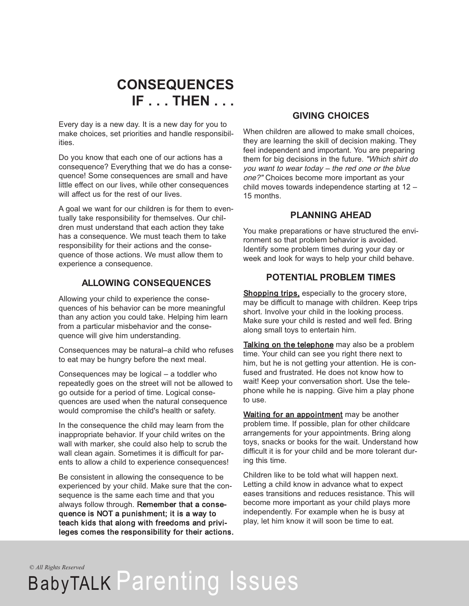

Every day is a new day. It is a new day for you to make choices, set priorities and handle responsibilities.

Do you know that each one of our actions has a consequence? Everything that we do has a consequence! Some consequences are small and have little effect on our lives, while other consequences will affect us for the rest of our lives.

A goal we want for our children is for them to eventually take responsibility for themselves. Our children must understand that each action they take has a consequence. We must teach them to take responsibility for their actions and the consequence of those actions. We must allow them to experience a consequence.

## **ALLOWING CONSEQUENCES**

Allowing your child to experience the consequences of his behavior can be more meaningful than any action you could take. Helping him learn from a particular misbehavior and the consequence will give him understanding.

Consequences may be natural–a child who refuses to eat may be hungry before the next meal.

Consequences may be logical – a toddler who repeatedly goes on the street will not be allowed to go outside for a period of time. Logical consequences are used when the natural consequence would compromise the child's health or safety.

In the consequence the child may learn from the inappropriate behavior. If your child writes on the wall with marker, she could also help to scrub the wall clean again. Sometimes it is difficult for parents to allow a child to experience consequences!

Be consistent in allowing the consequence to be experienced by your child. Make sure that the consequence is the same each time and that you always follow through. Remember that a consequence is NOT a punishment; it is a way to teach kids that along with freedoms and privileges comes the responsibility for their actions.

### **GIVING CHOICES**

When children are allowed to make small choices, they are learning the skill of decision making. They feel independent and important. You are preparing them for big decisions in the future. "Which shirt do you want to wear today – the red one or the blue one?" Choices become more important as your child moves towards independence starting at 12 – 15 months.

## **PLANNING AHEAD**

You make preparations or have structured the environment so that problem behavior is avoided. Identify some problem times during your day or week and look for ways to help your child behave.

# **POTENTIAL PROBLEM TIMES**

**Shopping trips, especially to the grocery store,** may be difficult to manage with children. Keep trips short. Involve your child in the looking process. Make sure your child is rested and well fed. Bring along small toys to entertain him.

Talking on the telephone may also be a problem time. Your child can see you right there next to him, but he is not getting your attention. He is confused and frustrated. He does not know how to wait! Keep your conversation short. Use the telephone while he is napping. Give him a play phone to use.

Waiting for an appointment may be another problem time. If possible, plan for other childcare arrangements for your appointments. Bring along toys, snacks or books for the wait. Understand how difficult it is for your child and be more tolerant during this time.

Children like to be told what will happen next. Letting a child know in advance what to expect eases transitions and reduces resistance. This will become more important as your child plays more independently. For example when he is busy at play, let him know it will soon be time to eat.

*© All Rights Reserved*

# BabyTALK Parenting Issues